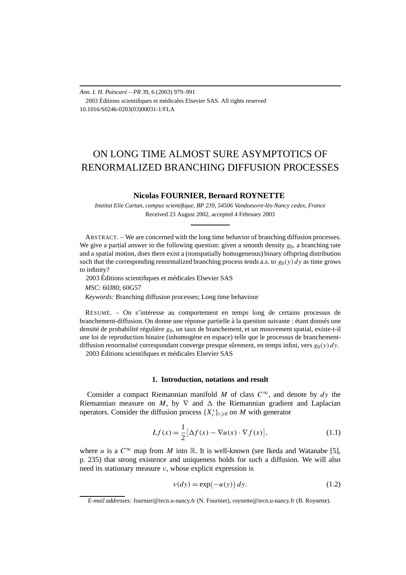# ON LONG TIME ALMOST SURE ASYMPTOTICS OF RENORMALIZED BRANCHING DIFFUSION PROCESSES

## **Nicolas FOURNIER, Bernard ROYNETTE**

*Institut Elie Cartan, campus scientifique, BP 239, 54506 Vandoeuvre-lès-Nancy cedex, France* Received 23 August 2002, accepted 4 February 2003

ABSTRACT. – We are concerned with the long time behavior of branching diffusion processes. We give a partial answer to the following question: given a smooth density  $g_0$ , a branching rate and a spatial motion, does there exist a (nonspatially homogeneous) binary offspring distribution such that the corresponding renormalized branching process tends a.s. to  $g_0(y) dy$  as time grows to infinity?

2003 Éditions scientifiques et médicales Elsevier SAS

*MSC:* 60J80; 60G57

*Keywords:* Branching diffusion processes; Long time behaviour

RÉSUMÉ. – On s'intéresse au comportement en temps long de certains processus de branchement-diffusion. On donne une réponse partielle à la question suivante : étant donnés une densité de probabilité régulière *g*0, un taux de branchement, et un mouvement spatial, existe-t-il une loi de reproduction binaire (inhomogène en espace) telle que le processus de branchementdiffusion renormalisé correspondant converge presque sûrement, en temps infini, vers *g*0*(y) dy*. 2003 Éditions scientifiques et médicales Elsevier SAS

#### **1. Introduction, notations and result**

Consider a compact Riemannian manifold *M* of class  $C^{\infty}$ , and denote by  $dy$  the Riemannian measure on *M*, by  $\nabla$  and  $\Delta$  the Riemannian gradient and Laplacian operators. Consider the diffusion process  $\{X_t^x\}_{t\geqslant0}$  on *M* with generator

$$
Lf(x) = \frac{1}{2} \big[ \Delta f(x) - \nabla u(x) \cdot \nabla f(x) \big],\tag{1.1}
$$

where *u* is a  $C^{\infty}$  map from *M* into R. It is well-known (see Ikeda and Watanabe [5], p. 235) that strong existence and uniqueness holds for such a diffusion. We will also need its stationary measure *ν*, whose explicit expression is

$$
v(dy) = \exp(-u(y)) dy.
$$
 (1.2)

*E-mail addresses:* fournier@iecn.u-nancy.fr (N. Fournier), roynette@iecn.u-nancy.fr (B. Roynette).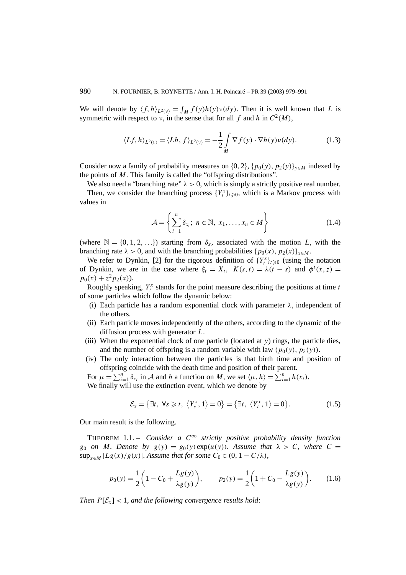We will denote by  $\langle f, h \rangle_{L^2(\nu)} = \int_M f(y)h(y)v(dy)$ . Then it is well known that *L* is symmetric with respect to *ν*, in the sense that for all *f* and *h* in  $C^2(M)$ ,

$$
\langle Lf, h \rangle_{L^2(\nu)} = \langle Lh, f \rangle_{L^2(\nu)} = -\frac{1}{2} \int_M \nabla f(y) \cdot \nabla h(y) \nu(dy). \tag{1.3}
$$

Consider now a family of probability measures on  $\{0, 2\}$ ,  $\{p_0(y), p_2(y)\}_{y \in M}$  indexed by the points of *M*. This family is called the "offspring distributions".

We also need a "branching rate"  $\lambda > 0$ , which is simply a strictly positive real number. Then, we consider the branching process  $\{Y_t^x\}_{t\geqslant 0}$ , which is a Markov process with values in

$$
\mathcal{A} = \left\{ \sum_{i=1}^{n} \delta_{x_i}; \ n \in \mathbb{N}, \ x_1, \dots, x_n \in M \right\}
$$
 (1.4)

(where  $\mathbb{N} = \{0, 1, 2, \ldots\}$ ) starting from  $\delta_x$ , associated with the motion *L*, with the branching rate  $\lambda > 0$ , and with the branching probabilities  $\{p_0(x), p_2(x)\}_{x \in M}$ .

We refer to Dynkin, [2] for the rigorous definition of  $\{Y_t^x\}_{t\geqslant0}$  (using the notation of Dynkin, we are in the case where  $\xi_t = X_t$ ,  $K(s, t) = \lambda(t - s)$  and  $\phi^t(x, z) =$  $p_0(x) + z^2 p_2(x)$ .

Roughly speaking,  $Y_t^x$  stands for the point measure describing the positions at time  $t$ of some particles which follow the dynamic below:

- (i) Each particle has a random exponential clock with parameter  $\lambda$ , independent of the others.
- (ii) Each particle moves independently of the others, according to the dynamic of the diffusion process with generator *L*.
- (iii) When the exponential clock of one particle (located at *y*) rings, the particle dies, and the number of offspring is a random variable with law  $(p_0(y), p_2(y))$ .
- (iv) The only interaction between the particles is that birth time and position of offspring coincide with the death time and position of their parent.

For  $\mu = \sum_{i=1}^{n} \delta_{x_i}$  in A and h a function on M, we set  $\langle \mu, h \rangle = \sum_{i=1}^{n} h(x_i)$ . We finally will use the extinction event, which we denote by

$$
\mathcal{E}_x = \{ \exists t, \ \forall s \geq t, \ \langle Y_s^x, 1 \rangle = 0 \} = \{ \exists t, \ \langle Y_t^x, 1 \rangle = 0 \}.
$$
 (1.5)

Our main result is the following.

THEOREM 1.1. – *Consider a*  $C^{\infty}$  *strictly positive probability density function g*<sub>0</sub> *on M. Denote by*  $g(y) = g_0(y) \exp(u(y))$ *. Assume that*  $\lambda > C$ *, where*  $C =$ sup<sub>*x*∈*M*</sub>  $|Lg(x)/g(x)|$ *. Assume that for some*  $C_0 \in (0, 1 - C/\lambda)$ *,* 

$$
p_0(y) = \frac{1}{2} \left( 1 - C_0 + \frac{Lg(y)}{\lambda g(y)} \right), \qquad p_2(y) = \frac{1}{2} \left( 1 + C_0 - \frac{Lg(y)}{\lambda g(y)} \right). \tag{1.6}
$$

*Then*  $P[\mathcal{E}_x] < 1$ *, and the following convergence results hold:*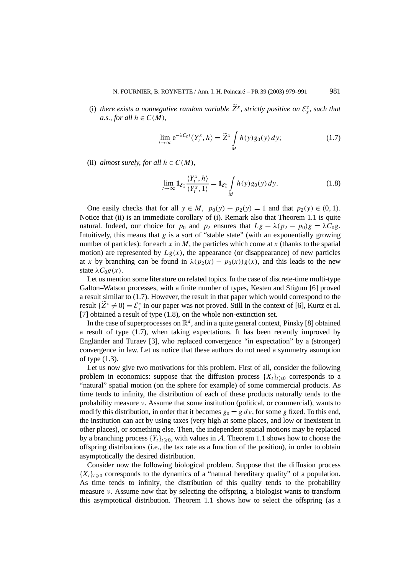(i) there exists a nonnegative random variable  $\widetilde{Z}^x$ , strictly positive on  $\mathcal{E}^c_x$ , such that *a.s., for all*  $h \in C(M)$ *,* 

$$
\lim_{t \to \infty} e^{-\lambda C_0 t} \langle Y_t^x, h \rangle = \widetilde{Z}^x \int_M h(y) g_0(y) \, dy; \tag{1.7}
$$

(ii) *almost surely, for all*  $h \in C(M)$ *,* 

$$
\lim_{t \to \infty} \mathbf{1}_{\mathcal{E}_x^c} \frac{\langle Y_t^x, h \rangle}{\langle Y_t^x, 1 \rangle} = \mathbf{1}_{\mathcal{E}_x^c} \int_M h(y) g_0(y) \, dy. \tag{1.8}
$$

One easily checks that for all  $y \in M$ ,  $p_0(y) + p_2(y) = 1$  and that  $p_2(y) \in (0, 1)$ . Notice that (ii) is an immediate corollary of (i). Remark also that Theorem 1.1 is quite natural. Indeed, our choice for  $p_0$  and  $p_2$  ensures that  $Lg + \lambda (p_2 - p_0)g = \lambda C_0 g$ . Intuitively, this means that *g* is a sort of "stable state" (with an exponentially growing number of particles): for each *x* in *M*, the particles which come at *x* (thanks to the spatial motion) are represented by  $Lg(x)$ , the appearance (or disappearance) of new particles at *x* by branching can be found in  $\lambda(p_2(x) - p_0(x))g(x)$ , and this leads to the new state  $\lambda C_0 g(x)$ .

Let us mention some literature on related topics. In the case of discrete-time multi-type Galton–Watson processes, with a finite number of types, Kesten and Stigum [6] proved a result similar to (1.7). However, the result in that paper which would correspond to the result  ${\overline{Z}}^x \neq 0$  =  ${\mathcal{E}}^c_x$  in our paper was not proved. Still in the context of [6], Kurtz et al. [7] obtained a result of type (1.8), on the whole non-extinction set.

In the case of superprocesses on  $\mathbb{R}^d$ , and in a quite general context, Pinsky [8] obtained a result of type (1.7), when taking expectations. It has been recently improved by Engländer and Turaev [3], who replaced convergence "in expectation" by a (stronger) convergence in law. Let us notice that these authors do not need a symmetry asumption of type (1.3).

Let us now give two motivations for this problem. First of all, consider the following problem in economics: suppose that the diffusion process  $\{X_t\}_{t\geq0}$  corresponds to a "natural" spatial motion (on the sphere for example) of some commercial products. As time tends to infinity, the distribution of each of these products naturally tends to the probability measure *ν*. Assume that some institution (political, or commercial), wants to modify this distribution, in order that it becomes  $g_0 = g dv$ , for some *g* fixed. To this end, the institution can act by using taxes (very high at some places, and low or inexistent in other places), or something else. Then, the independent spatial motions may be replaced by a branching process  ${Y_t}_{t\geq0}$ , with values in A. Theorem 1.1 shows how to choose the offspring distributions (i.e., the tax rate as a function of the position), in order to obtain asymptotically the desired distribution.

Consider now the following biological problem. Suppose that the diffusion process  ${X_t}_{t\geq0}$  corresponds to the dynamics of a "natural hereditary quality" of a population. As time tends to infinity, the distribution of this quality tends to the probability measure *ν*. Assume now that by selecting the offspring, a biologist wants to transform this asymptotical distribution. Theorem 1.1 shows how to select the offspring (as a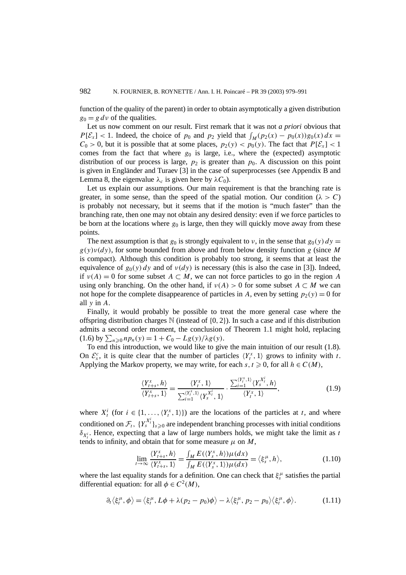function of the quality of the parent) in order to obtain asymptotically a given distribution  $g_0 = g \, dv$  of the qualities.

Let us now comment on our result. First remark that it was not *a priori* obvious that *P*[ $\mathcal{E}_x$ ] < 1. Indeed, the choice of *p*<sub>0</sub> and *p*<sub>2</sub> yield that  $\int_M (p_2(x) - p_0(x))g_0(x) dx =$  $C_0 > 0$ , but it is possible that at some places,  $p_2(y) < p_0(y)$ . The fact that  $P[\mathcal{E}_x] < 1$ comes from the fact that where  $g_0$  is large, i.e., where the (expected) asymptotic distribution of our process is large,  $p_2$  is greater than  $p_0$ . A discussion on this point is given in Engländer and Turaev [3] in the case of superprocesses (see Appendix B and Lemma 8, the eigenvalue  $\lambda_c$  is given here by  $\lambda C_0$ ).

Let us explain our assumptions. Our main requirement is that the branching rate is greater, in some sense, than the speed of the spatial motion. Our condition  $(\lambda > C)$ is probably not necessary, but it seems that if the motion is "much faster" than the branching rate, then one may not obtain any desired density: even if we force particles to be born at the locations where  $g_0$  is large, then they will quickly move away from these points.

The next assumption is that  $g_0$  is strongly equivalent to *ν*, in the sense that  $g_0(y) dy =$  $g(y)y(dy)$ , for some bounded from above and from below density function *g* (since *M* is compact). Although this condition is probably too strong, it seems that at least the equivalence of  $g_0(y) dy$  and of  $v(dy)$  is necessary (this is also the case in [3]). Indeed, if  $v(A) = 0$  for some subset  $A \subset M$ , we can not force particles to go in the region A using only branching. On the other hand, if  $v(A) > 0$  for some subset  $A \subset M$  we can not hope for the complete disappearence of particles in *A*, even by setting  $p_2(y) = 0$  for all *y* in *A*.

Finally, it would probably be possible to treat the more general case where the offspring distribution charges  $\mathbb N$  (instead of  $\{0, 2\}$ ). In such a case and if this distribution admits a second order moment, the conclusion of Theorem 1.1 might hold, replacing  $(1.6)$  by  $\sum_{n\geq 0} np_n(y) = 1 + C_0 - Lg(y)/\lambda g(y)$ .

To end this introduction, we would like to give the main intuition of our result (1.8). On  $\mathcal{E}_x^c$ , it is quite clear that the number of particles  $\langle Y_t^x, 1 \rangle$  grows to infinity with *t*. Applying the Markov property, we may write, for each  $s, t \geq 0$ , for all  $h \in C(M)$ ,

$$
\frac{\langle Y_{t+s}^x, h \rangle}{\langle Y_{t+s}^x, 1 \rangle} = \frac{\langle Y_t^x, 1 \rangle}{\sum_{i=1}^{\langle Y_t^x, 1 \rangle} \langle Y_s^{X_t^i}, 1 \rangle} \cdot \frac{\sum_{i=1}^{\langle Y_t^x, 1 \rangle} \langle Y_s^{X_t^i}, h \rangle}{\langle Y_t^x, 1 \rangle},
$$
(1.9)

where  $X_t^i$  (for  $i \in \{1, \ldots, \langle Y_t^x, 1 \rangle\}$ ) are the locations of the particles at *t*, and where conditioned on  $\mathcal{F}_t$ ,  $\{Y_s^{X_t^i}\}_{s\geq 0}$  are independent branching processes with initial conditions *δ<sub>Xi</sub>*. Hence, expecting that a law of large numbers holds, we might take the limit as *t* tends to infinity, and obtain that for some measure  $\mu$  on  $M$ ,

$$
\lim_{t \to \infty} \frac{\langle Y_{t+s}^x, h \rangle}{\langle Y_{t+s}^x, 1 \rangle} = \frac{\int_M E(\langle Y_s^x, h \rangle) \mu(dx)}{\int_M E(\langle Y_s^x, 1 \rangle) \mu(dx)} = \langle \xi_s^\mu, h \rangle,
$$
\n(1.10)

where the last equality stands for a definition. One can check that  $\xi_s^{\mu}$  satisfies the partial differential equation: for all  $\phi \in C^2(M)$ ,

$$
\partial_t \langle \xi_t^{\mu}, \phi \rangle = \langle \xi_t^{\mu}, L\phi + \lambda (p_2 - p_0) \phi \rangle - \lambda \langle \xi_t^{\mu}, p_2 - p_0 \rangle \langle \xi_t^{\mu}, \phi \rangle. \tag{1.11}
$$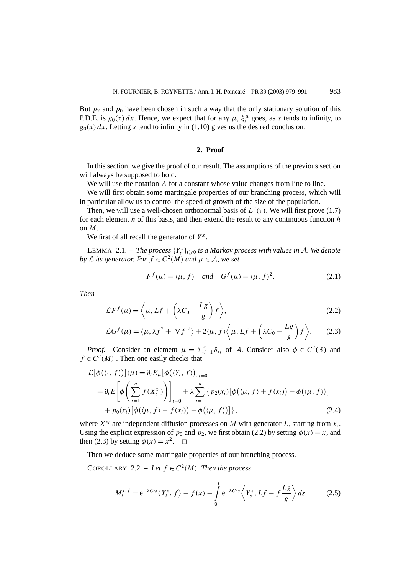But  $p_2$  and  $p_0$  have been chosen in such a way that the only stationary solution of this P.D.E. is  $g_0(x) dx$ . Hence, we expect that for any  $\mu$ ,  $\xi_s^{\mu}$  goes, as *s* tends to infinity, to  $g_0(x) dx$ . Letting *s* tend to infinity in (1.10) gives us the desired conclusion.

# **2. Proof**

In this section, we give the proof of our result. The assumptions of the previous section will always be supposed to hold.

We will use the notation *A* for a constant whose value changes from line to line.

We will first obtain some martingale properties of our branching process, which will in particular allow us to control the speed of growth of the size of the population.

Then, we will use a well-chosen orthonormal basis of  $L^2(v)$ . We will first prove (1.7) for each element *h* of this basis, and then extend the result to any continuous function *h* on *M*.

We first of all recall the generator of  $Y^x$ .

LEMMA 2.1. – *The process*  $\{Y_t^x\}_{t\geq0}$  *is a Markov process with values in A. We denote by*  $\mathcal L$  *its generator. For*  $f \in C^2(M)$  *and*  $\mu \in \mathcal A$ *, we set* 

$$
F^{f}(\mu) = \langle \mu, f \rangle \quad \text{and} \quad G^{f}(\mu) = \langle \mu, f \rangle^{2}.
$$
 (2.1)

*Then*

$$
\mathcal{L}F^f(\mu) = \left\langle \mu, Lf + \left(\lambda C_0 - \frac{Lg}{g}\right)f \right\rangle, \tag{2.2}
$$

$$
\mathcal{L}G^{f}(\mu) = \langle \mu, \lambda f^{2} + |\nabla f|^{2} \rangle + 2\langle \mu, f \rangle \langle \mu, Lf + \left(\lambda C_{0} - \frac{Lg}{g}\right)f \rangle. \tag{2.3}
$$

*Proof.* – Consider an element  $\mu = \sum_{i=1}^{n} \delta_{x_i}$  of A. Consider also  $\phi \in C^2(\mathbb{R})$  and  $f \in C^2(M)$ . Then one easily checks that

$$
\mathcal{L}[\phi(\langle \cdot, f \rangle)](\mu) = \partial_t E_{\mu}[\phi(\langle Y_t, f \rangle)]_{t=0}
$$
  
=  $\partial_t E\left[\phi\left(\sum_{i=1}^n f(X_i^{x_i})\right)\right]_{t=0} + \lambda \sum_{i=1}^n \{p_2(x_i) [\phi(\langle \mu, f \rangle + f(x_i)) - \phi(\langle \mu, f \rangle)]\}$   
+  $p_0(x_i) [\phi(\langle \mu, f \rangle - f(x_i)) - \phi(\langle \mu, f \rangle)]\},$  (2.4)

where  $X^{x_i}$  are independent diffusion processes on *M* with generator *L*, starting from  $x_i$ . Using the explicit expression of  $p_0$  and  $p_2$ , we first obtain (2.2) by setting  $\phi(x) = x$ , and then (2.3) by setting  $\phi(x) = x^2$ .  $\Box$ 

Then we deduce some martingale properties of our branching process.

COROLLARY 2.2. – Let  $f \in C^2(M)$ *. Then the process* 

$$
M_t^{x,f} = e^{-\lambda C_0 t} \langle Y_t^x, f \rangle - f(x) - \int_0^t e^{-\lambda C_0 s} \langle Y_s^x, Lf - f\frac{Lg}{g} \rangle ds \qquad (2.5)
$$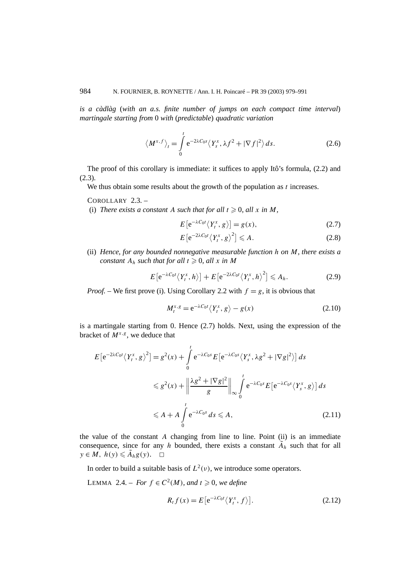*is a càdlàg* (*with an a.s. finite number of jumps on each compact time interval*) *martingale starting from* 0 *with* (*predictable*) *quadratic variation*

$$
\langle M^{x,f} \rangle_t = \int_0^t e^{-2\lambda C_0 s} \langle Y_s^x, \lambda f^2 + |\nabla f|^2 \rangle ds.
$$
 (2.6)

The proof of this corollary is immediate: it suffices to apply Itô's formula, (2.2) and (2.3).

We thus obtain some results about the growth of the population as *t* increases.

COROLLARY 2.3. –

(i) *There exists a constant* A *such that for all*  $t \ge 0$ *, all*  $x$  *in*  $M$ *,* 

$$
E\left[e^{-\lambda C_0 t}\langle Y_t^x, g\rangle\right] = g(x),\tag{2.7}
$$

$$
E\left[e^{-2\lambda C_0 t} \langle Y_t^x, g \rangle^2\right] \leqslant A. \tag{2.8}
$$

(ii) *Hence, for any bounded nonnegative measurable function h on M, there exists a constant*  $A_h$  *such that for all*  $t \geq 0$ *, all x in M* 

$$
E\left[e^{-\lambda C_0 t}\langle Y_t^x, h\rangle\right] + E\left[e^{-2\lambda C_0 t}\langle Y_t^x, h\rangle^2\right] \leqslant A_h.
$$
 (2.9)

*Proof.* – We first prove (i). Using Corollary 2.2 with  $f = g$ , it is obvious that

$$
M_t^{x,g} = e^{-\lambda C_0 t} \langle Y_t^x, g \rangle - g(x) \tag{2.10}
$$

is a martingale starting from 0. Hence (2.7) holds. Next, using the expression of the bracket of  $M^{x,g}$ , we deduce that

$$
E[e^{-2\lambda C_0 t} \langle Y_t^x, g \rangle^2] = g^2(x) + \int_0^t e^{-\lambda C_0 s} E[e^{-\lambda C_0 s} \langle Y_s^x, \lambda g^2 + |\nabla g|^2] \, ds
$$
  

$$
\leq g^2(x) + \left\| \frac{\lambda g^2 + |\nabla g|^2}{g} \right\|_{\infty} \int_0^t e^{-\lambda C_0 s} E[e^{-\lambda C_0 s} \langle Y_s^x, g \rangle] \, ds
$$
  

$$
\leq A + A \int_0^t e^{-\lambda C_0 s} \, ds \leq A,
$$
 (2.11)

the value of the constant *A* changing from line to line. Point (ii) is an immediate consequence, since for any *h* bounded, there exists a constant  $\tilde{A}_h$  such that for all  $y \in M$ ,  $h(y) \leq \tilde{A}_h g(y)$ .  $\Box$ 

In order to build a suitable basis of  $L^2(v)$ , we introduce some operators.

LEMMA 2.4. − *For*  $f \text{ } \in C^2(M)$ *, and*  $t \ge 0$ *, we define* 

$$
R_t f(x) = E\left[e^{-\lambda C_0 t} \langle Y_t^x, f \rangle\right].
$$
\n(2.12)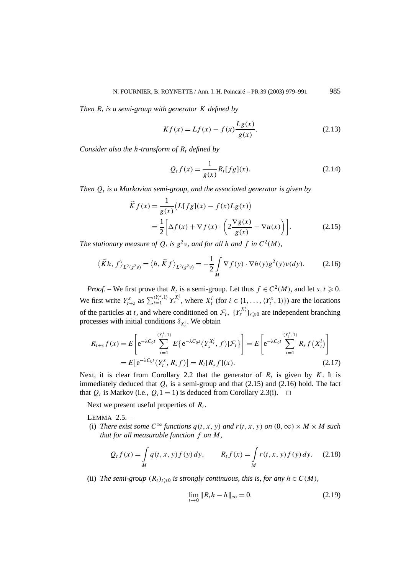*Then*  $R_t$  *is a semi-group with generator*  $K$  *defined by* 

$$
Kf(x) = Lf(x) - f(x)\frac{Lg(x)}{g(x)}.
$$
 (2.13)

*Consider also the h-transform of*  $R_t$  *defined by* 

$$
Q_t f(x) = \frac{1}{g(x)} R_t [fg](x).
$$
 (2.14)

*Then*  $Q_t$  *is a Markovian semi-group, and the associated generator is given by* 

$$
\widetilde{K}f(x) = \frac{1}{g(x)} \left( L[fg](x) - f(x)Lg(x) \right)
$$

$$
= \frac{1}{2} \left[ \Delta f(x) + \nabla f(x) \cdot \left( 2\frac{\nabla g(x)}{g(x)} - \nabla u(x) \right) \right].
$$
(2.15)

*The stationary measure of*  $Q_t$  *is*  $g^2v$ *, and for all h and f in*  $C^2(M)$ *,* 

$$
\langle \widetilde{K}h, f \rangle_{L^2(g^{2}\nu)} = \langle h, \widetilde{K}f \rangle_{L^2(g^{2}\nu)} = -\frac{1}{2} \int_M \nabla f(y) \cdot \nabla h(y) g^2(y) \nu(dy). \tag{2.16}
$$

*Proof.* – We first prove that  $R_t$  is a semi-group. Let thus  $f \in C^2(M)$ , and let  $s, t \ge 0$ . We first write  $Y_{t+s}^x$  as  $\sum_{i=1}^{(Y_t^x,1)} Y_s^{X_t^i}$ , where  $X_t^i$  (for  $i \in \{1,\ldots,\langle Y_t^x,1\rangle\})$  are the locations of the particles at *t*, and where conditioned on  $\mathcal{F}_t$ ,  $\{Y_s^{X_t^i}\}_{s\geq 0}$  are independent branching processes with initial conditions  $\delta_{X_t^i}$ . We obtain

$$
R_{t+s}f(x) = E\left[e^{-\lambda C_0 t} \sum_{i=1}^{\langle Y_t^x, 1 \rangle} E\left\{e^{-\lambda C_0 s} \langle Y_s^{X_t^i}, f \rangle | \mathcal{F}_t\right\}\right] = E\left[e^{-\lambda C_0 t} \sum_{i=1}^{\langle Y_t^x, 1 \rangle} R_s f(X_t^i)\right]
$$
  
=  $E\left[e^{-\lambda C_0 t} \langle Y_t^x, R_s f \rangle\right] = R_t[R_s f](x).$  (2.17)

Next, it is clear from Corollary 2.2 that the generator of  $R_t$  is given by  $K$ . It is immediately deduced that  $Q_t$  is a semi-group and that (2.15) and (2.16) hold. The fact that  $Q_t$  is Markov (i.e.,  $Q_t$ 1 = 1) is deduced from Corollary 2.3(i).  $\Box$ 

Next we present useful properties of  $R_t$ .

LEMMA 2.5. –

(i) *There exist some*  $C^{\infty}$  *functions*  $q(t, x, y)$  *and*  $r(t, x, y)$  *on*  $(0, \infty) \times M \times M$  *such that for all measurable function f on M,*

$$
Q_t f(x) = \int_M q(t, x, y) f(y) dy, \qquad R_t f(x) = \int_M r(t, x, y) f(y) dy.
$$
 (2.18)

(ii) *The semi-group*  $(R_t)_{t\geq0}$  *is strongly continuous, this is, for any*  $h \in C(M)$ *,* 

$$
\lim_{t \to 0} \|R_t h - h\|_{\infty} = 0.
$$
\n(2.19)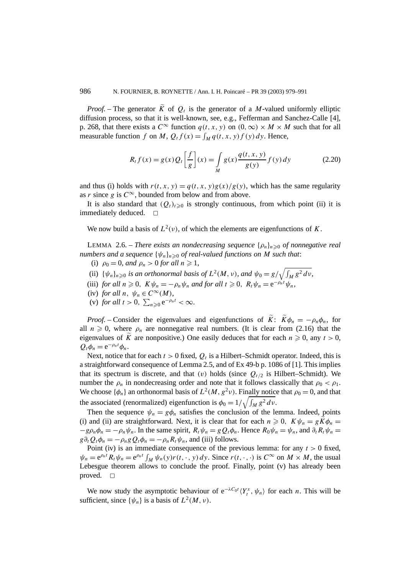*Proof.* – The generator  $\tilde{K}$  of  $Q_t$  is the generator of a *M*-valued uniformly elliptic diffusion process, so that it is well-known, see, e.g., Fefferman and Sanchez-Calle [4], p. 268, that there exists a  $C^{\infty}$  function  $q(t, x, y)$  on  $(0, \infty) \times M \times M$  such that for all measurable function *f* on *M*,  $Q_t f(x) = \int_M q(t, x, y) f(y) dy$ . Hence,

$$
R_t f(x) = g(x) Q_t \left[ \frac{f}{g} \right](x) = \int_M g(x) \frac{q(t, x, y)}{g(y)} f(y) dy \tag{2.20}
$$

and thus (i) holds with  $r(t, x, y) = q(t, x, y)g(x)/g(y)$ , which has the same regularity as *r* since *g* is  $C^{\infty}$ , bounded from below and from above.

It is also standard that  $(Q_t)_{t\geq0}$  is strongly continuous, from which point (ii) it is immediately deduced.  $\square$ 

We now build a basis of  $L^2(v)$ , of which the elements are eigenfunctions of *K*.

LEMMA 2.6. – *There exists an nondecreasing sequence*  $\{\rho_n\}_{n\geq 0}$  *of nonnegative real numbers and a sequence*  $\{\psi_n\}_{n\geq 0}$  *of real-valued functions on M such that:* 

- (i)  $\rho_0 = 0$ *, and*  $\rho_n > 0$  *for all*  $n \ge 1$ *,*
- (ii)  $\{\psi_n\}_{n\geq 0}$  *is an orthonormal basis of*  $L^2(M, v)$ *, and*  $\psi_0 = g/\sqrt{\int_M g^2 dv}$ *,*
- (iii) *for all*  $n \ge 0$ ,  $K \psi_n = -\rho_n \psi_n$  *and for all*  $t \ge 0$ ,  $R_t \psi_n = e^{-\rho_n t} \psi_n$ ,
- (iv) *for all*  $n, \psi_n \in C^\infty(M)$ *,*
- (v) *for all*  $t > 0$ ,  $\sum_{n \geq 0} e^{-\rho_n t} < \infty$ .

*Proof.* – Consider the eigenvalues and eigenfunctions of  $\tilde{K}$ :  $\tilde{K}\phi_n = -\rho_n\phi_n$ , for all  $n \geq 0$ , where  $\rho_n$  are nonnegative real numbers. (It is clear from (2.16) that the eigenvalues of  $\tilde{K}$  are nonpositive.) One easily deduces that for each  $n \geq 0$ , any  $t > 0$ ,  $Q_t \phi_n = e^{-\rho_n t} \phi_n$ .

Next, notice that for each  $t > 0$  fixed,  $Q_t$  is a Hilbert–Schmidt operator. Indeed, this is a straightforward consequence of Lemma 2.5, and of Ex 49-b p. 1086 of [1]. This implies that its spectrum is discrete, and that (v) holds (since  $Q_{t/2}$  is Hilbert–Schmidt). We number the  $\rho_n$  in nondecreasing order and note that it follows classically that  $\rho_0 < \rho_1$ . We choose  $\{\phi_n\}$  an orthonormal basis of  $L^2(M, g^2\nu)$ . Finally notice that  $\rho_0 = 0$ , and that the associated (renormalized) eigenfunction is  $\phi_0 = 1/\sqrt{\int_M g^2 dv}$ .

Then the sequence  $\psi_n = g\phi_n$  satisfies the conclusion of the lemma. Indeed, points (i) and (ii) are straightforward. Next, it is clear that for each  $n \geq 0$ ,  $K\psi_n = g\widetilde{K}\phi_n =$  $-g\rho_n\phi_n = -\rho_n\psi_n$ . In the same spirit,  $R_t\psi_n = gQ_t\phi_n$ . Hence  $R_0\psi_n = \psi_n$ , and  $\partial_tR_t\psi_n = gP_t\phi_n$ .  $g\partial_t Q_t \phi_n = -\rho_n g Q_t \phi_n = -\rho_n R_t \psi_n$ , and (iii) follows.

Point (iv) is an immediate consequence of the previous lemma: for any  $t > 0$  fixed,  $\psi_n = e^{\rho_n t} R_t \psi_n = e^{\rho_n t} \int_M \psi_n(y) r(t, \cdot, y) dy$ . Since  $r(t, \cdot, \cdot)$  is  $C^\infty$  on  $M \times M$ , the usual Lebesgue theorem allows to conclude the proof. Finally, point (v) has already been proved.  $\square$ 

We now study the asymptotic behaviour of  $e^{-\lambda C_0 t} \langle Y_t^x, \psi_n \rangle$  for each *n*. This will be sufficient, since  $\{\psi_n\}$  is a basis of  $L^2(M, \nu)$ .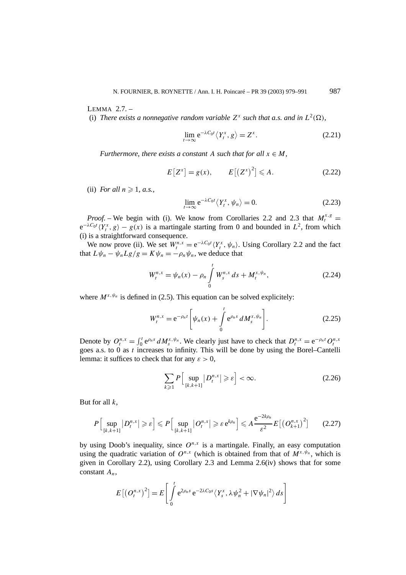LEMMA 2.7. –

(i) *There exists a nonnegative random variable*  $Z^x$  *such that a.s. and in*  $L^2(\Omega)$ *,* 

$$
\lim_{t \to \infty} e^{-\lambda C_0 t} \langle Y_t^x, g \rangle = Z^x. \tag{2.21}
$$

*Furthermore, there exists a constant A such that for all*  $x \in M$ *,* 

$$
E[Z^x] = g(x), \qquad E[(Z^x)^2] \leq A. \tag{2.22}
$$

(ii) *For all*  $n \ge 1$ , *a.s.*,

$$
\lim_{t \to \infty} e^{-\lambda C_0 t} \langle Y_t^x, \psi_n \rangle = 0.
$$
\n(2.23)

*Proof.* – We begin with (i). We know from Corollaries 2.2 and 2.3 that  $M_t^{x,g}$  =  $e^{-\lambda C_0 t} \langle Y_t^x, g \rangle - g(x)$  is a martingale starting from 0 and bounded in  $L^2$ , from which (i) is a straightforward consequence.

We now prove (ii). We set  $W_t^{n,x} = e^{-\lambda C_0 t} \langle Y_t^x, \psi_n \rangle$ . Using Corollary 2.2 and the fact that  $L\psi_n - \psi_n Lg/g = K\psi_n = -\rho_n \psi_n$ , we deduce that

$$
W_t^{n,x} = \psi_n(x) - \rho_n \int\limits_0^t W_s^{n,x} ds + M_t^{x,\psi_n}, \qquad (2.24)
$$

where  $M^{x, \psi_n}$  is defined in (2.5). This equation can be solved explicitely:

$$
W_t^{n,x} = e^{-\rho_n t} \left[ \psi_n(x) + \int_0^t e^{\rho_n s} dM_s^{x, \psi_n} \right].
$$
 (2.25)

Denote by  $O_t^{n,x} = \int_0^t e^{\rho_n s} dM_s^{x, \psi_n}$ . We clearly just have to check that  $D_t^{n,x} = e^{-\rho_n t} O_t^{n,x}$ goes a.s. to 0 as *t* increases to infinity. This will be done by using the Borel–Cantelli lemma: it suffices to check that for any  $\varepsilon > 0$ ,

$$
\sum_{k\geqslant 1} P\left[\sup_{\{k,k+1\}} |D_l^{n,x}| \geqslant \varepsilon\right] < \infty. \tag{2.26}
$$

But for all *k*,

$$
P\Big[\sup_{[k,k+1]}|D_t^{n,x}|\geqslant \varepsilon\Big]\leqslant P\Big[\sup_{[k,k+1]}|O_t^{n,x}|\geqslant \varepsilon e^{k\rho_n}\Big]\leqslant A\frac{e^{-2k\rho_n}}{\varepsilon^2}E\big[\big(O_{k+1}^{n,x}\big)^2\big]\qquad(2.27)
$$

by using Doob's inequality, since  $O^{n,x}$  is a martingale. Finally, an easy computation using the quadratic variation of  $O^{n,x}$  (which is obtained from that of  $M^{x,y_n}$ , which is given in Corollary 2.2), using Corollary 2.3 and Lemma 2.6(iv) shows that for some constant *An*,

$$
E\left[\left(O_t^{n,x}\right)^2\right] = E\left[\int\limits_0^t e^{2\rho_n s} e^{-2\lambda C_0 s} \langle Y_s^x, \lambda \psi_n^2 + |\nabla \psi_n|^2 \rangle ds\right]
$$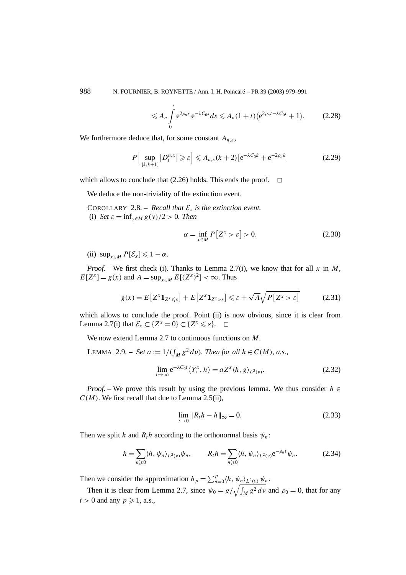988 N. FOURNIER, B. ROYNETTE / Ann. I. H. Poincaré – PR 39 (2003) 979–991

$$
\leq A_n \int_0^t e^{2\rho_n s} e^{-\lambda C_0 s} ds \leq A_n (1+t) \left( e^{2\rho_n t - \lambda C_0 t} + 1 \right). \tag{2.28}
$$

We furthermore deduce that, for some constant  $A_{n,\varepsilon}$ ,

$$
P\left[\sup_{\{k,k+1\}}|D_t^{n,x}|\geqslant \varepsilon\right]\leqslant A_{n,\varepsilon}(k+2)\left[e^{-\lambda C_0 k}+e^{-2\rho_n k}\right]
$$
\n(2.29)

which allows to conclude that  $(2.26)$  holds. This ends the proof.  $\Box$ 

We deduce the non-triviality of the extinction event.

COROLLARY 2.8. – *Recall that*  $\mathcal{E}_x$  *is the extinction event.* (i) *Set*  $\varepsilon = \inf_{y \in M} g(y)/2 > 0$ *. Then* 

$$
\alpha = \inf_{x \in M} P[Z^x > \varepsilon] > 0. \tag{2.30}
$$

(ii)  $\sup_{x \in M} P[\mathcal{E}_x] \leq 1 - \alpha.$ 

*Proof. –* We first check (i). Thanks to Lemma 2.7(i), we know that for all *x* in *M*,  $E[Z^x] = g(x)$  and  $A = \sup_{x \in M} E[(Z^x)^2] < \infty$ . Thus

$$
g(x) = E\left[Z^{x}\mathbf{1}_{Z^{x}\leq \varepsilon}\right] + E\left[Z^{x}\mathbf{1}_{Z^{x}>\varepsilon}\right] \leq \varepsilon + \sqrt{A}\sqrt{P\left[Z^{x}>\varepsilon\right]}
$$
(2.31)

which allows to conclude the proof. Point (ii) is now obvious, since it is clear from Lemma 2.7(i) that  $\mathcal{E}_x \subset \{Z^x = 0\} \subset \{Z^x \leq \varepsilon\}.$ 

We now extend Lemma 2.7 to continuous functions on *M*.

LEMMA 2.9. – *Set*  $a := 1/((\int_M g^2 dv))$ . *Then for all*  $h \in C(M)$ , *a.s.*,

$$
\lim_{t \to \infty} e^{-\lambda C_0 t} \langle Y_t^x, h \rangle = a Z^x \langle h, g \rangle_{L^2(\nu)}.
$$
\n(2.32)

*Proof.* – We prove this result by using the previous lemma. We thus consider  $h \in$  $C(M)$ . We first recall that due to Lemma 2.5(ii),

$$
\lim_{t \to 0} \|R_t h - h\|_{\infty} = 0.
$$
\n(2.33)

Then we split *h* and  $R<sub>t</sub>h$  according to the orthonormal basis  $\psi_n$ :

$$
h = \sum_{n\geqslant 0} \langle h, \psi_n \rangle_{L^2(\nu)} \psi_n, \qquad R_t h = \sum_{n\geqslant 0} \langle h, \psi_n \rangle_{L^2(\nu)} e^{-\rho_n t} \psi_n.
$$
 (2.34)

Then we consider the approximation  $h_p = \sum_{n=0}^{p} \langle h, \psi_n \rangle_{L^2(v)} \psi_n$ .

Then it is clear from Lemma 2.7, since  $\psi_0 = g / \sqrt{\int_M g^2 dv}$  and  $\rho_0 = 0$ , that for any  $t > 0$  and any  $p \ge 1$ , a.s.,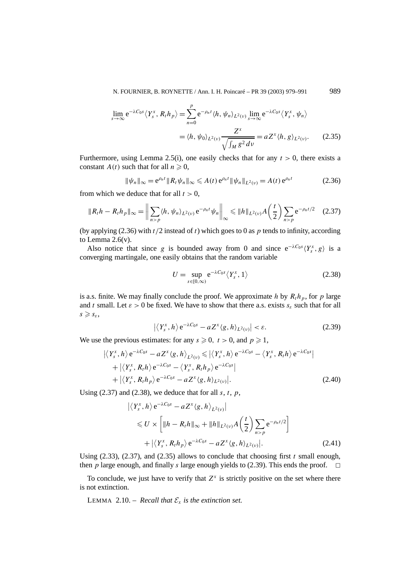N. FOURNIER, B. ROYNETTE / Ann. I. H. Poincaré – PR 39 (2003) 979–991 989

$$
\lim_{s \to \infty} e^{-\lambda C_0 s} \langle Y_s^x, R_t h_p \rangle = \sum_{n=0}^p e^{-\rho_n t} \langle h, \psi_n \rangle_{L^2(\nu)} \lim_{s \to \infty} e^{-\lambda C_0 s} \langle Y_s^x, \psi_n \rangle
$$

$$
= \langle h, \psi_0 \rangle_{L^2(\nu)} \frac{Z^x}{\sqrt{\int_M g^2 dv}} = a Z^x \langle h, g \rangle_{L^2(\nu)}.
$$
(2.35)

Furthermore, using Lemma 2.5(i), one easily checks that for any  $t > 0$ , there exists a constant *A(t)* such that for all  $n \ge 0$ ,

$$
\|\psi_n\|_{\infty} = e^{\rho_n t} \|R_t \psi_n\|_{\infty} \leqslant A(t) e^{\rho_n t} \|\psi_n\|_{L^2(\nu)} = A(t) e^{\rho_n t}
$$
 (2.36)

from which we deduce that for all  $t > 0$ ,

$$
\|R_t h - R_t h_p\|_{\infty} = \left\| \sum_{n > p} \langle h, \psi_n \rangle_{L^2(\nu)} e^{-\rho_n t} \psi_n \right\|_{\infty} \le \|h\|_{L^2(\nu)} A\left(\frac{t}{2}\right) \sum_{n > p} e^{-\rho_n t/2} \tag{2.37}
$$

(by applying (2.36) with *t/*2 instead of *t*) which goes to 0 as *p* tends to infinity, according to Lemma  $2.6(v)$ .

Also notice that since *g* is bounded away from 0 and since  $e^{-\lambda C_0 s} \langle Y_s^x, g \rangle$  is a converging martingale, one easily obtains that the random variable

$$
U = \sup_{s \in [0,\infty)} e^{-\lambda C_0 s} \langle Y_s^x, 1 \rangle \tag{2.38}
$$

is a.s. finite. We may finally conclude the proof. We approximate *h* by  $R_t h_p$ , for *p* large and *t* small. Let  $\varepsilon > 0$  be fixed. We have to show that there a.s. exists  $s_{\varepsilon}$  such that for all  $s \geqslant s_{\varepsilon}$ ,

$$
\left| \left\langle Y_s^x, h \right\rangle e^{-\lambda C_0 s} - a Z^x \langle g, h \rangle_{L^2(\nu)} \right| < \varepsilon. \tag{2.39}
$$

We use the previous estimates: for any  $s \ge 0$ ,  $t > 0$ , and  $p \ge 1$ ,

$$
\left| \langle Y_s^x, h \rangle e^{-\lambda C_0 s} - a Z^x \langle g, h \rangle_{L^2(\nu)} \leq \left| \langle Y_s^x, h \rangle e^{-\lambda C_0 s} - \langle Y_s^x, R_t h \rangle e^{-\lambda C_0 s} \right| + \left| \langle Y_s^x, R_t h \rangle e^{-\lambda C_0 s} - \langle Y_s^x, R_t h \rangle e^{-\lambda C_0 s} \right| + \left| \langle Y_s^x, R_t h \rangle e^{-\lambda C_0 s} - a Z^x \langle g, h \rangle_{L^2(\nu)} \right|.
$$
 (2.40)

Using  $(2.37)$  and  $(2.38)$ , we deduce that for all *s*, *t*, *p*,

$$
\left| \langle Y_s^x, h \rangle e^{-\lambda C_0 s} - a Z^x \langle g, h \rangle_{L^2(\nu)} \right|
$$
  
\$\leq U \times \left[ \|h - R\_t h\|\_{\infty} + \|h\|\_{L^2(\nu)} A \left( \frac{t}{2} \right) \sum\_{n > p} e^{-\rho\_n t/2} \right] \$  
+ \left| \langle Y\_s^x, R\_t h\_p \rangle e^{-\lambda C\_0 s} - a Z^x \langle g, h \rangle\_{L^2(\nu)} \right]. \tag{2.41}

Using  $(2.33)$ ,  $(2.37)$ , and  $(2.35)$  allows to conclude that choosing first *t* small enough, then *p* large enough, and finally *s* large enough yields to (2.39). This ends the proof.  $\Box$ 

To conclude, we just have to verify that  $Z^x$  is strictly positive on the set where there is not extinction.

LEMMA 2.10. – *Recall that*  $\mathcal{E}_x$  *is the extinction set.*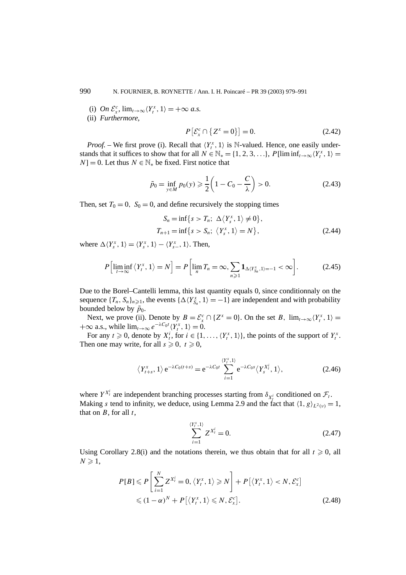(i)  $On \mathcal{E}_x^c$ ,  $\lim_{t \to \infty} \langle Y_t^x, 1 \rangle = +\infty$  *a.s.* 

(ii) *Furthermore,*

$$
P\left[\mathcal{E}_x^c \cap \{Z^x = 0\}\right] = 0. \tag{2.42}
$$

*Proof.* – We first prove (i). Recall that  $\langle Y_t^x, 1 \rangle$  is N-valued. Hence, one easily understands that it suffices to show that for all  $N \in \mathbb{N}_* = \{1, 2, 3, ...\}$ ,  $P[\liminf_{t\to\infty} \langle Y_t^x, 1 \rangle =$ *N*] = 0. Let thus  $N \in \mathbb{N}^*$  be fixed. First notice that

$$
\tilde{p}_0 = \inf_{y \in M} p_0(y) \ge \frac{1}{2} \left( 1 - C_0 - \frac{C}{\lambda} \right) > 0.
$$
\n(2.43)

Then, set  $T_0 = 0$ ,  $S_0 = 0$ , and define recursively the stopping times

$$
S_n = \inf\{s > T_n; \ \Delta\langle Y_s^x, 1\rangle \neq 0\},
$$
  
\n
$$
T_{n+1} = \inf\{s > S_n; \ \langle Y_s^x, 1\rangle = N\},
$$
\n(2.44)

where  $\Delta \langle Y_s^x, 1 \rangle = \langle Y_s^x, 1 \rangle - \langle Y_{s-}^x, 1 \rangle$ . Then,

$$
P\left[\liminf_{t\to\infty}\left\langle Y_t^x, 1\right\rangle = N\right] = P\left[\lim_{n} T_n = \infty, \sum_{n\geq 1} \mathbf{1}_{\Delta(Y_{S_n}^x, 1) = -1} < \infty\right].\tag{2.45}
$$

Due to the Borel–Cantelli lemma, this last quantity equals 0, since conditionnaly on the sequence  ${T_n, S_n}_{n \geq 1}$ , the events  $\{\Delta \langle Y_{S_n}^x, 1 \rangle = -1\}$  are independent and with probability bounded below by  $\tilde{p}_0$ .

Next, we prove (ii). Denote by  $B = \mathcal{E}_x^c \cap \{Z^x = 0\}$ . On the set *B*,  $\lim_{t \to \infty} \langle Y_t^x, 1 \rangle =$  $+\infty$  a.s., while  $\lim_{t\to\infty} e^{-\lambda C_0 t} \langle Y_t^x, 1 \rangle = 0.$ 

For any  $t \ge 0$ , denote by  $X_t^i$ , for  $i \in \{1, ..., \langle Y_t^x, 1 \rangle\}$ , the points of the support of  $Y_t^x$ . Then one may write, for all  $s \ge 0$ ,  $t \ge 0$ ,

$$
\langle Y_{t+s}^x, 1 \rangle e^{-\lambda C_0(t+s)} = e^{-\lambda C_0 t} \sum_{i=1}^{\langle Y_t^x, 1 \rangle} e^{-\lambda C_0 s} \langle Y_s^{X_t^i}, 1 \rangle,
$$
 (2.46)

where  $Y^{X_t^i}$  are independent branching processes starting from  $\delta_{X_t^i}$  conditioned on  $\mathcal{F}_t$ . Making *s* tend to infinity, we deduce, using Lemma 2.9 and the fact that  $\langle 1, g \rangle_{L^2(\nu)} = 1$ , that on *B*, for all *t*,

$$
\sum_{i=1}^{(Y_t^x,1)} Z^{X_t^i} = 0.
$$
\n(2.47)

Using Corollary 2.8(i) and the notations therein, we thus obtain that for all  $t \ge 0$ , all  $N \geqslant 1$ ,

$$
P[B] \leq P\left[\sum_{i=1}^{N} Z^{X_t^i} = 0, \langle Y_t^x, 1 \rangle \geq N\right] + P\left[\langle Y_t^x, 1 \rangle < N, \mathcal{E}_x^c\right] \leq (1 - \alpha)^N + P\left[\langle Y_t^x, 1 \rangle \leq N, \mathcal{E}_x^c\right].\tag{2.48}
$$